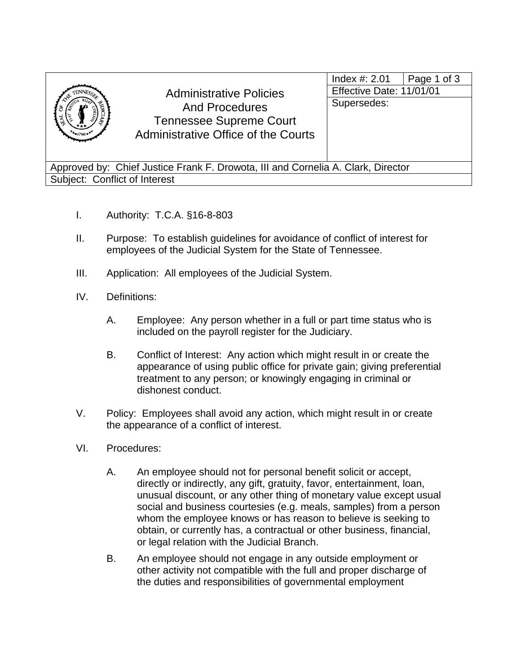|                                                                                  | <b>Administrative Policies</b><br><b>And Procedures</b><br><b>Tennessee Supreme Court</b><br>Administrative Office of the Courts | Index $\#$ : 2.01<br>Page 1 of 3<br>Effective Date: 11/01/01<br>Supersedes: |  |  |  |
|----------------------------------------------------------------------------------|----------------------------------------------------------------------------------------------------------------------------------|-----------------------------------------------------------------------------|--|--|--|
| Approved by: Chief Justice Frank F. Drowota, III and Cornelia A. Clark, Director |                                                                                                                                  |                                                                             |  |  |  |
| Subject: Conflict of Interest                                                    |                                                                                                                                  |                                                                             |  |  |  |

- I. Authority: T.C.A. §16-8-803
- II. Purpose: To establish guidelines for avoidance of conflict of interest for employees of the Judicial System for the State of Tennessee.
- III. Application: All employees of the Judicial System.
- IV. Definitions:
	- A. Employee: Any person whether in a full or part time status who is included on the payroll register for the Judiciary.
	- B. Conflict of Interest: Any action which might result in or create the appearance of using public office for private gain; giving preferential treatment to any person; or knowingly engaging in criminal or dishonest conduct.
- V. Policy: Employees shall avoid any action, which might result in or create the appearance of a conflict of interest.
- VI. Procedures:
	- A. An employee should not for personal benefit solicit or accept, directly or indirectly, any gift, gratuity, favor, entertainment, loan, unusual discount, or any other thing of monetary value except usual social and business courtesies (e.g. meals, samples) from a person whom the employee knows or has reason to believe is seeking to obtain, or currently has, a contractual or other business, financial, or legal relation with the Judicial Branch.
	- B. An employee should not engage in any outside employment or other activity not compatible with the full and proper discharge of the duties and responsibilities of governmental employment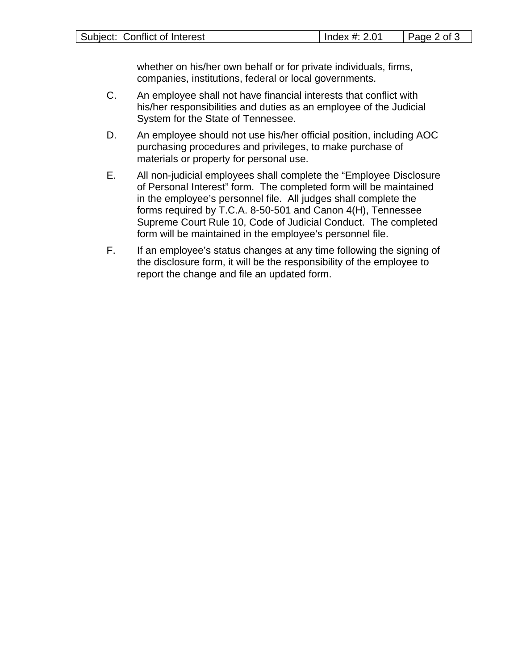whether on his/her own behalf or for private individuals, firms, companies, institutions, federal or local governments.

- C. An employee shall not have financial interests that conflict with his/her responsibilities and duties as an employee of the Judicial System for the State of Tennessee.
- D. An employee should not use his/her official position, including AOC purchasing procedures and privileges, to make purchase of materials or property for personal use.
- E. All non-judicial employees shall complete the "Employee Disclosure of Personal Interest" form. The completed form will be maintained in the employee's personnel file. All judges shall complete the forms required by T.C.A. 8-50-501 and Canon 4(H), Tennessee Supreme Court Rule 10, Code of Judicial Conduct. The completed form will be maintained in the employee's personnel file.
- F. If an employee's status changes at any time following the signing of the disclosure form, it will be the responsibility of the employee to report the change and file an updated form.